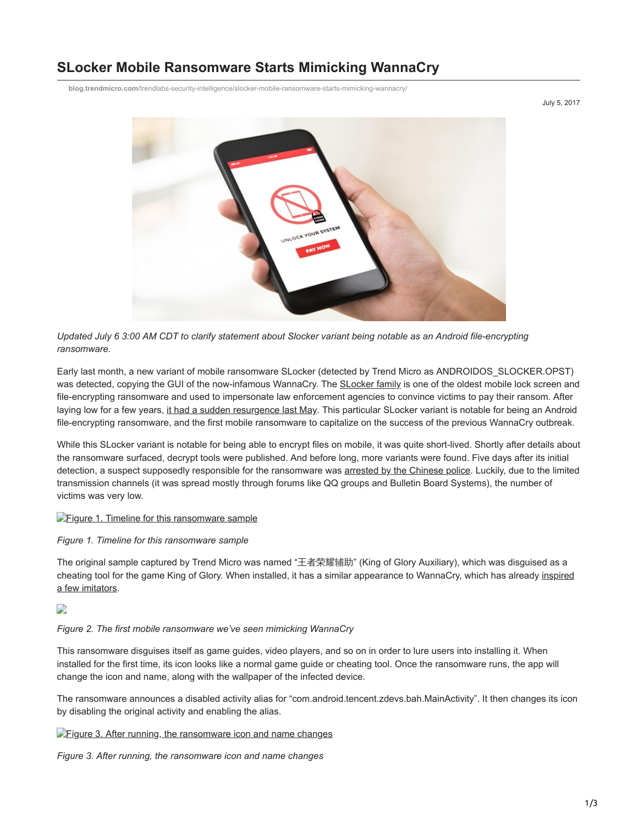# **SLocker Mobile Ransomware Starts Mimicking WannaCry**

**blog.trendmicro.com**[/trendlabs-security-intelligence/slocker-mobile-ransomware-starts-mimicking-wannacry/](https://blog.trendmicro.com/trendlabs-security-intelligence/slocker-mobile-ransomware-starts-mimicking-wannacry/)

July 5, 2017



*Updated July 6 3:00 AM CDT to clarify statement about Slocker variant being notable as an Android file-encrypting ransomware.*

Early last month, a new variant of mobile ransomware SLocker (detected by Trend Micro as ANDROIDOS\_SLOCKER.OPST) was detected, copying the GUI of the now-infamous WannaCry. The [SLocker family](http://blog.trendmicro.com/trendlabs-security-intelligence/mobile-ransomware-pocket-sized-badness/) is one of the oldest mobile lock screen and file-encrypting ransomware and used to impersonate law enforcement agencies to convince victims to pay their ransom. After laying low for a few years, [it had a sudden resurgence last May](https://www.trendmicro.com/vinfo/tmr/?/us/security/news/cybercrime-and-digital-threats/ransomware-recap-ransomware-as-a-service-surge-slocker-resurfaces). This particular SLocker variant is notable for being an Android file-encrypting ransomware, and the first mobile ransomware to capitalize on the success of the previous WannaCry outbreak.

While this SLocker variant is notable for being able to encrypt files on mobile, it was quite short-lived. Shortly after details about the ransomware surfaced, decrypt tools were published. And before long, more variants were found. Five days after its initial detection, a suspect supposedly responsible for the ransomware was [arrested by the Chinese police](http://m.qq.com/security_lab/news_detail_417.html). Luckily, due to the limited transmission channels (it was spread mostly through forums like QQ groups and Bulletin Board Systems), the number of victims was very low.

#### [Figure 1. Timeline for this ransomware sample](https://blog.trendmicro.com/content/dam/trendmicro/global/en/migrated/security-intelligence-migration-spreadsheet/trendlabs-security-intelligence/2017/06/SLocker1.jpg)

#### *Figure 1. Timeline for this ransomware sample*

The original sample captured by Trend Micro was named "王者荣耀辅助" (King of Glory Auxiliary), which was disguised as a [cheating tool for the game King of Glory. When installed, it has a similar appearance to WannaCry, which has already inspired](https://www.trendmicro.com/vinfo/tmr/?/us/security/news/cybercrime-and-digital-threats/ransomware-recap-business-as-usual-after-wannacry-surge) a few imitators.

## D

#### *Figure 2. The first mobile ransomware we've seen mimicking WannaCry*

This ransomware disguises itself as game guides, video players, and so on in order to lure users into installing it. When installed for the first time, its icon looks like a normal game guide or cheating tool. Once the ransomware runs, the app will change the icon and name, along with the wallpaper of the infected device.

The ransomware announces a disabled activity alias for "com.android.tencent.zdevs.bah.MainActivity". It then changes its icon by disabling the original activity and enabling the alias.

#### **[Figure 3. After running, the ransomware icon and name changes](https://blog.trendmicro.com/content/dam/trendmicro/global/en/migrated/security-intelligence-migration-spreadsheet/trendlabs-security-intelligence/2017/06/SLocker3.png)**

*Figure 3. After running, the ransomware icon and name changes*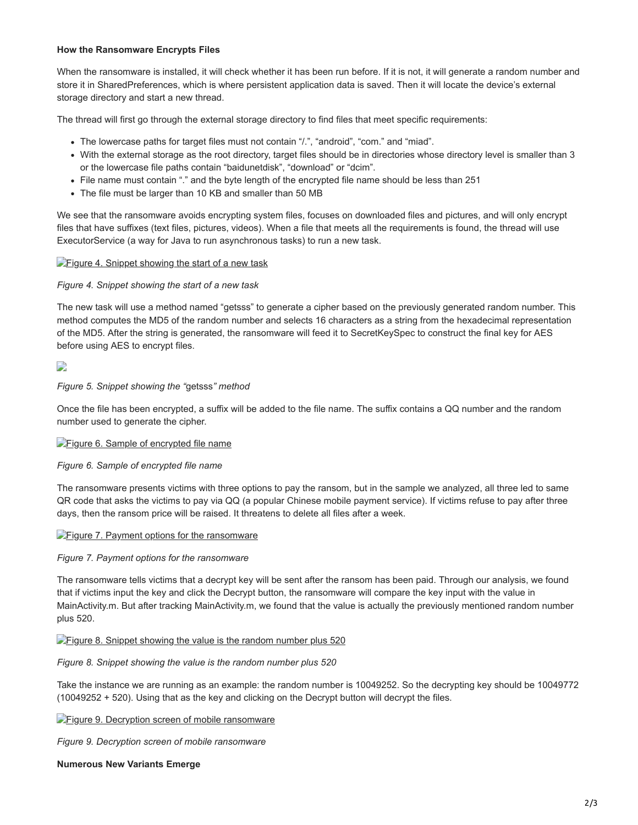## **How the Ransomware Encrypts Files**

When the ransomware is installed, it will check whether it has been run before. If it is not, it will generate a random number and store it in SharedPreferences, which is where persistent application data is saved. Then it will locate the device's external storage directory and start a new thread.

The thread will first go through the external storage directory to find files that meet specific requirements:

- The lowercase paths for target files must not contain "/.", "android", "com." and "miad".
- With the external storage as the root directory, target files should be in directories whose directory level is smaller than 3 or the lowercase file paths contain "baidunetdisk", "download" or "dcim".
- File name must contain "." and the byte length of the encrypted file name should be less than 251
- The file must be larger than 10 KB and smaller than 50 MB

We see that the ransomware avoids encrypting system files, focuses on downloaded files and pictures, and will only encrypt files that have suffixes (text files, pictures, videos). When a file that meets all the requirements is found, the thread will use ExecutorService (a way for Java to run asynchronous tasks) to run a new task.

## [Figure 4. Snippet showing the start of a new task](https://blog.trendmicro.com/content/dam/trendmicro/global/en/migrated/security-intelligence-migration-spreadsheet/trendlabs-security-intelligence/2017/06/SLocker4.png)

## *Figure 4. Snippet showing the start of a new task*

The new task will use a method named "getsss" to generate a cipher based on the previously generated random number. This method computes the MD5 of the random number and selects 16 characters as a string from the hexadecimal representation of the MD5. After the string is generated, the ransomware will feed it to SecretKeySpec to construct the final key for AES before using AES to encrypt files.

# D

## *Figure 5. Snippet showing the "*getsss*" method*

Once the file has been encrypted, a suffix will be added to the file name. The suffix contains a QQ number and the random number used to generate the cipher.

#### [Figure 6. Sample of encrypted file name](https://blog.trendmicro.com/content/dam/trendmicro/global/en/migrated/security-intelligence-migration-spreadsheet/trendlabs-security-intelligence/2017/06/SLocker6.png)

#### *Figure 6. Sample of encrypted file name*

The ransomware presents victims with three options to pay the ransom, but in the sample we analyzed, all three led to same QR code that asks the victims to pay via QQ (a popular Chinese mobile payment service). If victims refuse to pay after three days, then the ransom price will be raised. It threatens to delete all files after a week.

#### **[Figure 7. Payment options for the ransomware](https://blog.trendmicro.com/content/dam/trendmicro/global/en/migrated/security-intelligence-migration-spreadsheet/trendlabs-security-intelligence/2017/06/SLocker7.png)**

#### *Figure 7. Payment options for the ransomware*

The ransomware tells victims that a decrypt key will be sent after the ransom has been paid. Through our analysis, we found that if victims input the key and click the Decrypt button, the ransomware will compare the key input with the value in MainActivity.m. But after tracking MainActivity.m, we found that the value is actually the previously mentioned random number plus 520.

#### **[Figure 8. Snippet showing the value is the random number plus 520](https://blog.trendmicro.com/content/dam/trendmicro/global/en/migrated/security-intelligence-migration-spreadsheet/trendlabs-security-intelligence/2017/06/SLocker8.png)**

#### *Figure 8. Snippet showing the value is the random number plus 520*

Take the instance we are running as an example: the random number is 10049252. So the decrypting key should be 10049772 (10049252 + 520). Using that as the key and clicking on the Decrypt button will decrypt the files.

#### **[Figure 9. Decryption screen of mobile ransomware](https://blog.trendmicro.com/content/dam/trendmicro/global/en/migrated/security-intelligence-migration-spreadsheet/trendlabs-security-intelligence/2017/06/SLocker9.png)**

*Figure 9. Decryption screen of mobile ransomware*

#### **Numerous New Variants Emerge**